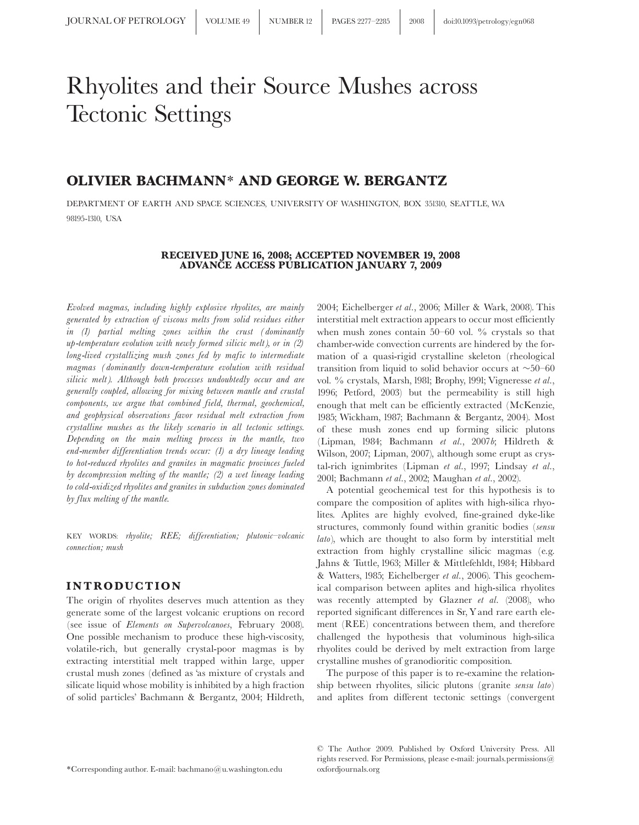# Rhyolites and their Source Mushes across Tectonic Settings

## OLIVIER BACHMANN\* AND GEORGE W. BERGANTZ

DEPARTMENT OF EARTH AND SPACE SCIENCES, UNIVERSITY OF WASHINGTON, BOX 351310, SEATTLE, WA 98195-1310, USA

#### RECEIVED JUNE 16, 2008; ACCEPTED NOVEMBER 19, 2008 ADVANCE ACCESS PUBLICATION JANUARY 7, 2009

Evolved magmas, including highly explosive rhyolites, are mainly generated by extraction of viscous melts from solid residues either in (1) partial melting zones within the crust (dominantly up-temperature evolution with newly formed silicic melt), or in (2) long-lived crystallizing mush zones fed by mafic to intermediate magmas (dominantly down-temperature evolution with residual silicic melt). Although both processes undoubtedly occur and are generally coupled, allowing for mixing between mantle and crustal components, we argue that combined field, thermal, geochemical, and geophysical observations favor residual melt extraction from crystalline mushes as the likely scenario in all tectonic settings. Depending on the main melting process in the mantle, two end-member differentiation trends occur: (1) a dry lineage leading to hot-reduced rhyolites and granites in magmatic provinces fueled by decompression melting of the mantle; (2) a wet lineage leading to cold-oxidized rhyolites and granites in subduction zones dominated by flux melting of the mantle.

KEY WORDS: rhyolite; REE; differentiation; plutonic-volcanic connection; mush

### INTRODUCTION

The origin of rhyolites deserves much attention as they generate some of the largest volcanic eruptions on record (see issue of Elements on Supervolcanoes, February 2008). One possible mechanism to produce these high-viscosity, volatile-rich, but generally crystal-poor magmas is by extracting interstitial melt trapped within large, upper crustal mush zones (defined as 'as mixture of crystals and silicate liquid whose mobility is inhibited by a high fraction of solid particles' Bachmann & Bergantz, 2004; Hildreth,

2004; Eichelberger et al., 2006; Miller & Wark, 2008). This interstitial melt extraction appears to occur most efficiently when mush zones contain  $50-60$  vol. % crystals so that chamber-wide convection currents are hindered by the formation of a quasi-rigid crystalline skeleton (rheological transition from liquid to solid behavior occurs at  $\sim$ 50–60 vol. % crystals, Marsh, 1981; Brophy, 1991; Vigneresse et al., 1996; Petford, 2003) but the permeability is still high enough that melt can be efficiently extracted (McKenzie, 1985; Wickham, 1987; Bachmann & Bergantz, 2004). Most of these mush zones end up forming silicic plutons (Lipman, 1984; Bachmann et al., 2007b; Hildreth & Wilson, 2007; Lipman, 2007), although some erupt as crystal-rich ignimbrites (Lipman et al., 1997; Lindsay et al., 2001; Bachmann et al., 2002; Maughan et al., 2002).

A potential geochemical test for this hypothesis is to compare the composition of aplites with high-silica rhyolites. Aplites are highly evolved, fine-grained dyke-like structures, commonly found within granitic bodies (sensu lato), which are thought to also form by interstitial melt extraction from highly crystalline silicic magmas (e.g. Jahns & Tuttle, 1963; Miller & Mittlefehldt, 1984; Hibbard & Watters, 1985; Eichelberger et al., 2006). This geochemical comparison between aplites and high-silica rhyolites was recently attempted by Glazner et al. (2008), who reported significant differences in Sr, Y and rare earth element (REE) concentrations between them, and therefore challenged the hypothesis that voluminous high-silica rhyolites could be derived by melt extraction from large crystalline mushes of granodioritic composition.

The purpose of this paper is to re-examine the relationship between rhyolites, silicic plutons (granite sensu lato) and aplites from different tectonic settings (convergent

 The Author 2009. Published by Oxford University Press. All rights reserved. For Permissions, please e-mail: journals.permissions $@$ oxfordjournals.org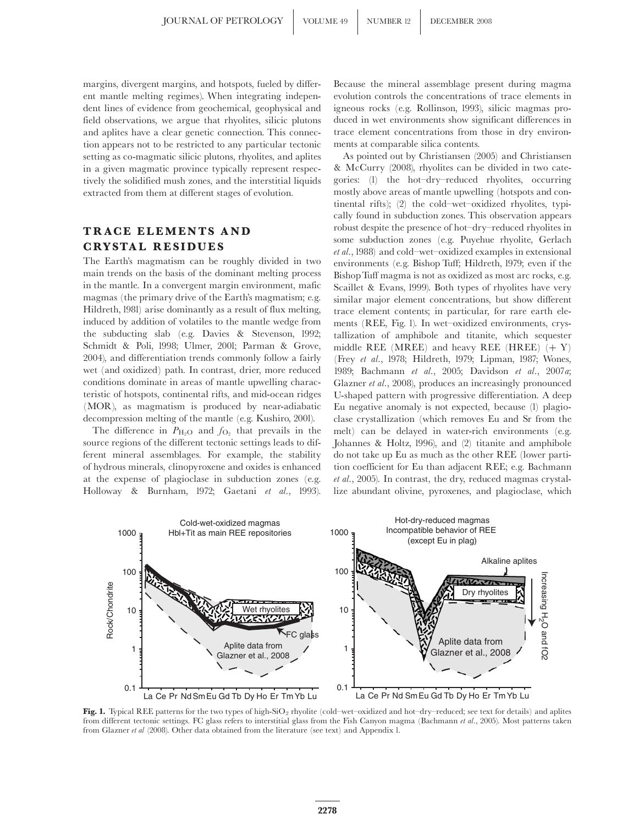margins, divergent margins, and hotspots, fueled by different mantle melting regimes). When integrating independent lines of evidence from geochemical, geophysical and field observations, we argue that rhyolites, silicic plutons and aplites have a clear genetic connection. This connection appears not to be restricted to any particular tectonic setting as co-magmatic silicic plutons, rhyolites, and aplites in a given magmatic province typically represent respectively the solidified mush zones, and the interstitial liquids extracted from them at different stages of evolution.

## TRACE ELEMENTS AND **CRYSTAL RESIDUES**

The Earth's magmatism can be roughly divided in two main trends on the basis of the dominant melting process in the mantle. In a convergent margin environment, mafic magmas (the primary drive of the Earth's magmatism; e.g. Hildreth, 1981) arise dominantly as a result of flux melting, induced by addition of volatiles to the mantle wedge from the subducting slab (e.g. Davies & Stevenson, 1992; Schmidt & Poli, 1998; Ulmer, 2001; Parman & Grove, 2004), and differentiation trends commonly follow a fairly wet (and oxidized) path. In contrast, drier, more reduced conditions dominate in areas of mantle upwelling characteristic of hotspots, continental rifts, and mid-ocean ridges (MOR), as magmatism is produced by near-adiabatic decompression melting of the mantle (e.g. Kushiro, 2001).

The difference in  $P_{\text{H}_2\text{O}}$  and  $f_{\text{O}_2}$  that prevails in the source regions of the different tectonic settings leads to different mineral assemblages. For example, the stability of hydrous minerals, clinopyroxene and oxides is enhanced at the expense of plagioclase in subduction zones (e.g. Holloway & Burnham, 1972; Gaetani et al., 1993).

Because the mineral assemblage present during magma evolution controls the concentrations of trace elements in igneous rocks (e.g. Rollinson, 1993), silicic magmas produced in wet environments show significant differences in trace element concentrations from those in dry environments at comparable silica contents.

As pointed out by Christiansen (2005) and Christiansen & McCurry (2008), rhyolites can be divided in two categories: (1) the hot^dry^reduced rhyolites, occurring mostly above areas of mantle upwelling (hotspots and continental rifts); (2) the cold-wet-oxidized rhyolites, typically found in subduction zones. This observation appears robust despite the presence of hot^dry^reduced rhyolites in some subduction zones (e.g. Puyehue rhyolite, Gerlach et al., 1988) and cold^wet^oxidized examples in extensional environments (e.g. Bishop Tuff; Hildreth, 1979; even if the BishopTuff magma is not as oxidized as most arc rocks, e.g. Scaillet & Evans, 1999). Both types of rhyolites have very similar major element concentrations, but show different trace element contents; in particular, for rare earth elements (REE, Fig. 1). In wet-oxidized environments, crystallization of amphibole and titanite, which sequester middle REE (MREE) and heavy REE (HREE)  $(+ Y)$ (Frey et al., 1978; Hildreth, 1979; Lipman, 1987; Wones, 1989; Bachmann et al., 2005; Davidson et al., 2007a; Glazner et al., 2008), produces an increasingly pronounced U-shaped pattern with progressive differentiation. A deep Eu negative anomaly is not expected, because (1) plagioclase crystallization (which removes Eu and Sr from the melt) can be delayed in water-rich environments (e.g. Johannes & Holtz, 1996), and (2) titanite and amphibole do not take up Eu as much as the other REE (lower partition coefficient for Eu than adjacent REE; e.g. Bachmann et al., 2005). In contrast, the dry, reduced magmas crystallize abundant olivine, pyroxenes, and plagioclase, which



Fig. 1. Typical REE patterns for the two types of high-SiO<sub>2</sub> rhyolite (cold-wet-oxidized and hot-dry-reduced; see text for details) and aplites from different tectonic settings. FC glass refers to interstitial glass from the Fish Canyon magma (Bachmann et al., 2005). Most patterns taken from Glazner et al (2008). Other data obtained from the literature (see text) and Appendix 1.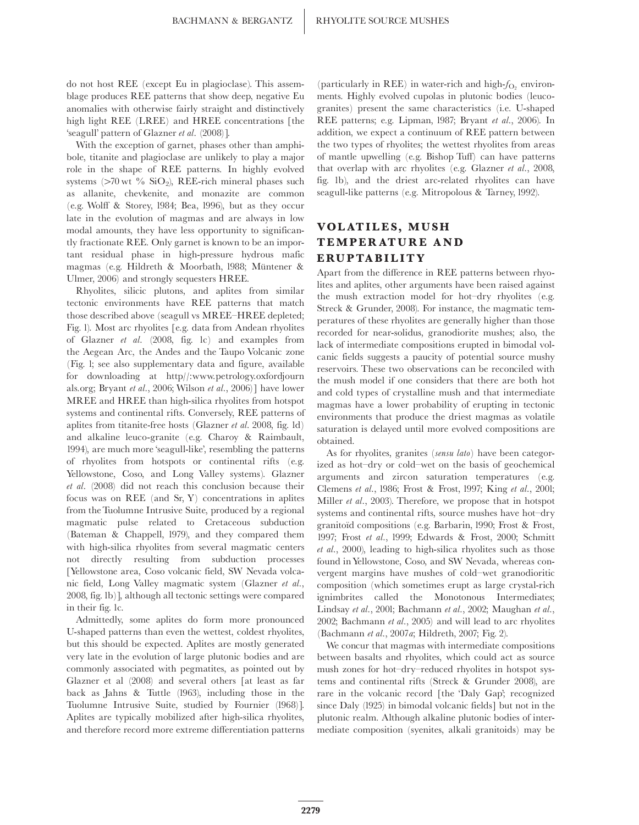do not host REE (except Eu in plagioclase). This assemblage produces REE patterns that show deep, negative Eu anomalies with otherwise fairly straight and distinctively high light REE (LREE) and HREE concentrations [the 'seagull' pattern of Glazner et al. (2008)].

With the exception of garnet, phases other than amphibole, titanite and plagioclase are unlikely to play a major role in the shape of REE patterns. In highly evolved systems  $(>70 \text{ wt } %)$  SiO<sub>2</sub>), REE-rich mineral phases such as allanite, chevkenite, and monazite are common (e.g. Wolff & Storey, 1984; Bea, 1996), but as they occur late in the evolution of magmas and are always in low modal amounts, they have less opportunity to significantly fractionate REE. Only garnet is known to be an important residual phase in high-pressure hydrous mafic magmas (e.g. Hildreth & Moorbath, 1988; Müntener & Ulmer, 2006) and strongly sequesters HREE.

Rhyolites, silicic plutons, and aplites from similar tectonic environments have REE patterns that match those described above (seagull vs MREE-HREE depleted; Fig. 1). Most arc rhyolites [e.g. data from Andean rhyolites of Glazner et al. (2008, fig. 1c) and examples from the Aegean Arc, the Andes and the Taupo Volcanic zone (Fig. 1; see also supplementary data and figure, available for downloading at http//:www.petrology.oxfordjourn als.org; Bryant et al., 2006; Wilson et al., 2006)] have lower MREE and HREE than high-silica rhyolites from hotspot systems and continental rifts. Conversely, REE patterns of aplites from titanite-free hosts (Glazner et al. 2008, fig. 1d) and alkaline leuco-granite (e.g. Charoy & Raimbault, 1994), are much more 'seagull-like', resembling the patterns of rhyolites from hotspots or continental rifts (e.g. Yellowstone, Coso, and Long Valley systems). Glazner et al. (2008) did not reach this conclusion because their focus was on REE (and Sr, Y) concentrations in aplites from the Tuolumne Intrusive Suite, produced by a regional magmatic pulse related to Cretaceous subduction (Bateman & Chappell, 1979), and they compared them with high-silica rhyolites from several magmatic centers not directly resulting from subduction processes [Yellowstone area, Coso volcanic field, SW Nevada volcanic field, Long Valley magmatic system (Glazner et al., 2008, fig. 1b)], although all tectonic settings were compared in their fig. 1c.

Admittedly, some aplites do form more pronounced U-shaped patterns than even the wettest, coldest rhyolites, but this should be expected. Aplites are mostly generated very late in the evolution of large plutonic bodies and are commonly associated with pegmatites, as pointed out by Glazner et al (2008) and several others [at least as far back as Jahns & Tuttle (1963), including those in the Tuolumne Intrusive Suite, studied by Fournier (1968)]. Aplites are typically mobilized after high-silica rhyolites, and therefore record more extreme differentiation patterns (particularly in REE) in water-rich and high- $f_{\text{O}_2}$  environments. Highly evolved cupolas in plutonic bodies (leucogranites) present the same characteristics (i.e. U-shaped REE patterns; e.g. Lipman, 1987; Bryant et al., 2006). In addition, we expect a continuum of REE pattern between the two types of rhyolites; the wettest rhyolites from areas of mantle upwelling (e.g. Bishop Tuff) can have patterns that overlap with arc rhyolites (e.g. Glazner et al., 2008, fig. 1b), and the driest arc-related rhyolites can have seagull-like patterns (e.g. Mitropolous & Tarney, 1992).

## VOLAT ILES, MUSH TEMPER ATURE AND **ERUPTABILITY**

Apart from the difference in REE patterns between rhyolites and aplites, other arguments have been raised against the mush extraction model for hot-dry rhyolites (e.g. Streck & Grunder, 2008). For instance, the magmatic temperatures of these rhyolites are generally higher than those recorded for near-solidus, granodiorite mushes; also, the lack of intermediate compositions erupted in bimodal volcanic fields suggests a paucity of potential source mushy reservoirs. These two observations can be reconciled with the mush model if one considers that there are both hot and cold types of crystalline mush and that intermediate magmas have a lower probability of erupting in tectonic environments that produce the driest magmas as volatile saturation is delayed until more evolved compositions are obtained.

As for rhyolites, granites (sensu lato) have been categorized as hot-dry or cold-wet on the basis of geochemical arguments and zircon saturation temperatures (e.g. Clemens et al., 1986; Frost & Frost, 1997; King et al., 2001; Miller et al., 2003). Therefore, we propose that in hotspot systems and continental rifts, source mushes have hot-dry granitoid compositions (e.g. Barbarin, 1990; Frost & Frost, 1997; Frost et al., 1999; Edwards & Frost, 2000; Schmitt et al., 2000), leading to high-silica rhyolites such as those found in Yellowstone, Coso, and SW Nevada, whereas convergent margins have mushes of cold^wet granodioritic composition (which sometimes erupt as large crystal-rich ignimbrites called the Monotonous Intermediates; Lindsay et al., 2001; Bachmann et al., 2002; Maughan et al., 2002; Bachmann et al., 2005) and will lead to arc rhyolites (Bachmann et al., 2007a; Hildreth, 2007; Fig. 2).

We concur that magmas with intermediate compositions between basalts and rhyolites, which could act as source mush zones for hot-dry-reduced rhyolites in hotspot systems and continental rifts (Streck & Grunder 2008), are rare in the volcanic record [the 'Daly Gap'; recognized since Daly (1925) in bimodal volcanic fields] but not in the plutonic realm. Although alkaline plutonic bodies of intermediate composition (syenites, alkali granitoids) may be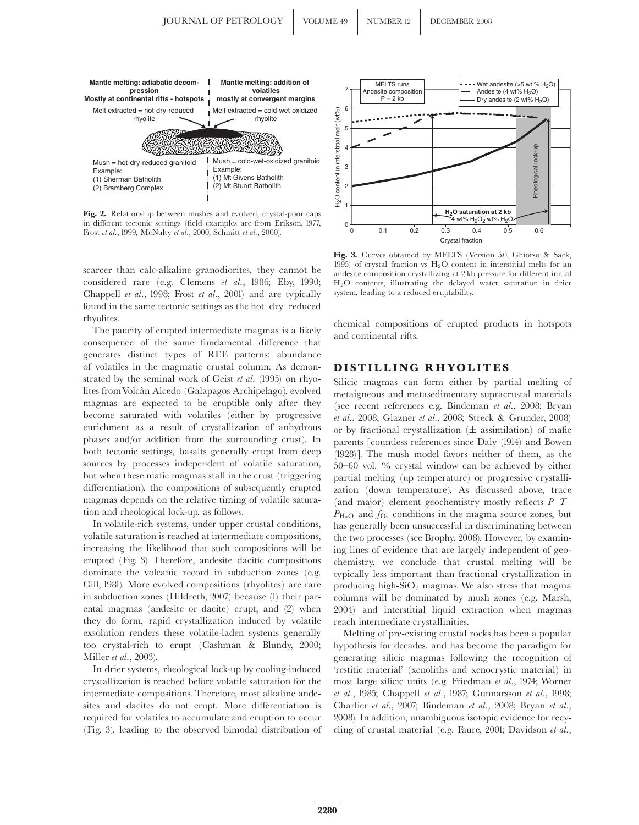

Fig. 2. Relationship between mushes and evolved, crystal-poor caps in different tectonic settings (field examples are from Erikson, 1977, Frost et al., 1999, McNulty et al., 2000, Schmitt et al., 2000).

scarcer than calc-alkaline granodiorites, they cannot be considered rare (e.g. Clemens et al., 1986; Eby, 1990; Chappell et al., 1998; Frost et al., 2001) and are typically found in the same tectonic settings as the hot-dry-reduced rhyolites.

The paucity of erupted intermediate magmas is a likely consequence of the same fundamental difference that generates distinct types of REE patterns: abundance of volatiles in the magmatic crustal column. As demonstrated by the seminal work of Geist et al. (1995) on rhyolites fromVolca'n Alcedo (Galapagos Archipelago), evolved magmas are expected to be eruptible only after they become saturated with volatiles (either by progressive enrichment as a result of crystallization of anhydrous phases and/or addition from the surrounding crust). In both tectonic settings, basalts generally erupt from deep sources by processes independent of volatile saturation, but when these mafic magmas stall in the crust (triggering differentiation), the compositions of subsequently erupted magmas depends on the relative timing of volatile saturation and rheological lock-up, as follows.

In volatile-rich systems, under upper crustal conditions, volatile saturation is reached at intermediate compositions, increasing the likelihood that such compositions will be erupted (Fig. 3). Therefore, andesite^dacitic compositions dominate the volcanic record in subduction zones (e.g. Gill, 1981). More evolved compositions (rhyolites) are rare in subduction zones (Hildreth, 2007) because (1) their parental magmas (andesite or dacite) erupt, and (2) when they do form, rapid crystallization induced by volatile exsolution renders these volatile-laden systems generally too crystal-rich to erupt (Cashman & Blundy, 2000; Miller et al., 2003).

In drier systems, rheological lock-up by cooling-induced crystallization is reached before volatile saturation for the intermediate compositions. Therefore, most alkaline andesites and dacites do not erupt. More differentiation is required for volatiles to accumulate and eruption to occur (Fig. 3), leading to the observed bimodal distribution of



Fig. 3. Curves obtained by MELTS (Version 5.0, Ghiorso & Sack, 1995) of crystal fraction vs  $H_2O$  content in interstitial melts for an andesite composition crystallizing at 2 kb pressure for different initial H2O contents, illustrating the delayed water saturation in drier system, leading to a reduced eruptability.

chemical compositions of erupted products in hotspots and continental rifts.

#### DISTILLING RHYOLITES

Silicic magmas can form either by partial melting of metaigneous and metasedimentary supracrustal materials (see recent references e.g. Bindeman et al., 2008; Bryan et al., 2008; Glazner et al., 2008; Streck & Grunder, 2008) or by fractional crystallization  $(\pm$  assimilation) of mafic parents [countless references since Daly (1914) and Bowen (1928)]. The mush model favors neither of them, as the 50 $-60$  vol. % crystal window can be achieved by either partial melting (up temperature) or progressive crystallization (down temperature). As discussed above, trace (and major) element geochemistry mostly reflects  $P-T^ P_{\text{H}_2\text{O}}$  and  $f_{\text{O}_2}$  conditions in the magma source zones, but has generally been unsuccessful in discriminating between the two processes (see Brophy, 2008). However, by examining lines of evidence that are largely independent of geochemistry, we conclude that crustal melting will be typically less important than fractional crystallization in producing high- $SiO<sub>2</sub>$  magmas. We also stress that magma columns will be dominated by mush zones (e.g. Marsh, 2004) and interstitial liquid extraction when magmas reach intermediate crystallinities.

Melting of pre-existing crustal rocks has been a popular hypothesis for decades, and has become the paradigm for generating silicic magmas following the recognition of 'restitic material' (xenoliths and xenocrystic material) in most large silicic units (e.g. Friedman et al., 1974; Worner et al., 1985; Chappell et al., 1987; Gunnarsson et al., 1998; Charlier et al., 2007; Bindeman et al., 2008; Bryan et al., 2008). In addition, unambiguous isotopic evidence for recycling of crustal material (e.g. Faure, 2001; Davidson et al.,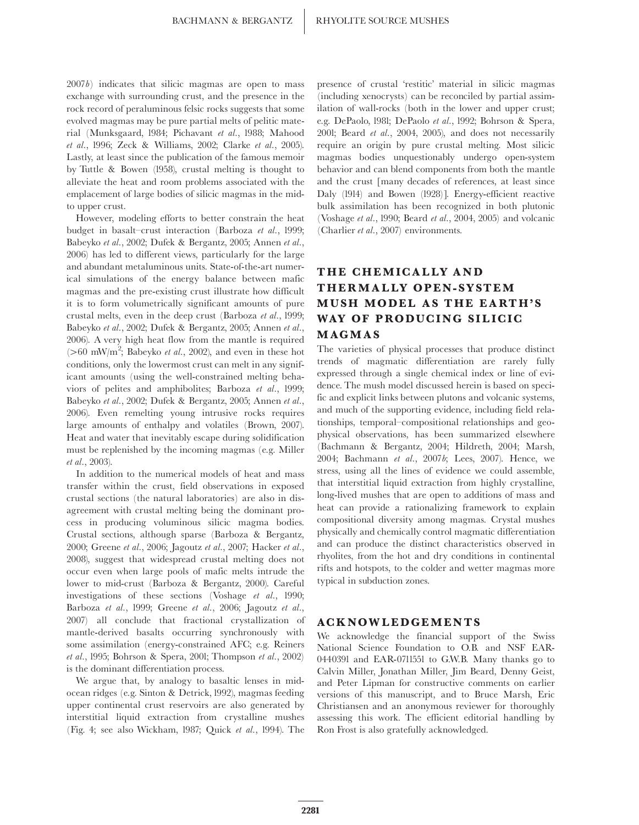2007b) indicates that silicic magmas are open to mass exchange with surrounding crust, and the presence in the rock record of peraluminous felsic rocks suggests that some evolved magmas may be pure partial melts of pelitic material (Munksgaard, 1984; Pichavant et al., 1988; Mahood et al., 1996; Zeck & Williams, 2002; Clarke et al., 2005). Lastly, at least since the publication of the famous memoir by Tuttle & Bowen (1958), crustal melting is thought to alleviate the heat and room problems associated with the emplacement of large bodies of silicic magmas in the midto upper crust.

However, modeling efforts to better constrain the heat budget in basalt-crust interaction (Barboza et al., 1999; Babeyko et al., 2002; Dufek & Bergantz, 2005; Annen et al., 2006) has led to different views, particularly for the large and abundant metaluminous units. State-of-the-art numerical simulations of the energy balance between mafic magmas and the pre-existing crust illustrate how difficult it is to form volumetrically significant amounts of pure crustal melts, even in the deep crust (Barboza et al., 1999; Babeyko et al., 2002; Dufek & Bergantz, 2005; Annen et al., 2006). A very high heat flow from the mantle is required ( $>60$  mW/m<sup>2</sup>; Babeyko et al., 2002), and even in these hot conditions, only the lowermost crust can melt in any significant amounts (using the well-constrained melting behaviors of pelites and amphibolites; Barboza et al., 1999; Babeyko et al., 2002; Dufek & Bergantz, 2005; Annen et al., 2006). Even remelting young intrusive rocks requires large amounts of enthalpy and volatiles (Brown, 2007). Heat and water that inevitably escape during solidification must be replenished by the incoming magmas (e.g. Miller et al., 2003).

In addition to the numerical models of heat and mass transfer within the crust, field observations in exposed crustal sections (the natural laboratories) are also in disagreement with crustal melting being the dominant process in producing voluminous silicic magma bodies. Crustal sections, although sparse (Barboza & Bergantz, 2000; Greene et al., 2006; Jagoutz et al., 2007; Hacker et al., 2008), suggest that widespread crustal melting does not occur even when large pools of mafic melts intrude the lower to mid-crust (Barboza & Bergantz, 2000). Careful investigations of these sections (Voshage et al., 1990; Barboza et al., 1999; Greene et al., 2006; Jagoutz et al., 2007) all conclude that fractional crystallization of mantle-derived basalts occurring synchronously with some assimilation (energy-constrained AFC; e.g. Reiners et al., 1995; Bohrson & Spera, 2001; Thompson et al., 2002) is the dominant differentiation process.

We argue that, by analogy to basaltic lenses in midocean ridges (e.g. Sinton & Detrick, 1992), magmas feeding upper continental crust reservoirs are also generated by interstitial liquid extraction from crystalline mushes (Fig. 4; see also Wickham, 1987; Quick et al., 1994). The presence of crustal 'restitic' material in silicic magmas (including xenocrysts) can be reconciled by partial assimilation of wall-rocks (both in the lower and upper crust; e.g. DePaolo, 1981; DePaolo et al., 1992; Bohrson & Spera, 2001; Beard et al., 2004, 2005), and does not necessarily require an origin by pure crustal melting. Most silicic magmas bodies unquestionably undergo open-system behavior and can blend components from both the mantle and the crust [many decades of references, at least since Daly (1914) and Bowen (1928)]. Energy-efficient reactive bulk assimilation has been recognized in both plutonic (Voshage et al., 1990; Beard et al., 2004, 2005) and volcanic (Charlier et al., 2007) environments.

# THE CHEMICALLY AND THERMALLY OPEN- SYSTEM MUSH MODEL AS THE EARTH'S WAY OF PRODUCING SILICIC MAGMAS

The varieties of physical processes that produce distinct trends of magmatic differentiation are rarely fully expressed through a single chemical index or line of evidence. The mush model discussed herein is based on specific and explicit links between plutons and volcanic systems, and much of the supporting evidence, including field relationships, temporal^compositional relationships and geophysical observations, has been summarized elsewhere (Bachmann & Bergantz, 2004; Hildreth, 2004; Marsh, 2004; Bachmann et al., 2007b; Lees, 2007). Hence, we stress, using all the lines of evidence we could assemble, that interstitial liquid extraction from highly crystalline, long-lived mushes that are open to additions of mass and heat can provide a rationalizing framework to explain compositional diversity among magmas. Crystal mushes physically and chemically control magmatic differentiation and can produce the distinct characteristics observed in rhyolites, from the hot and dry conditions in continental rifts and hotspots, to the colder and wetter magmas more typical in subduction zones.

#### ACKNOWLEDGEMENTS

We acknowledge the financial support of the Swiss National Science Foundation to O.B. and NSF EAR-0440391 and EAR-0711551 to G.W.B. Many thanks go to Calvin Miller, Jonathan Miller, Jim Beard, Denny Geist, and Peter Lipman for constructive comments on earlier versions of this manuscript, and to Bruce Marsh, Eric Christiansen and an anonymous reviewer for thoroughly assessing this work. The efficient editorial handling by Ron Frost is also gratefully acknowledged.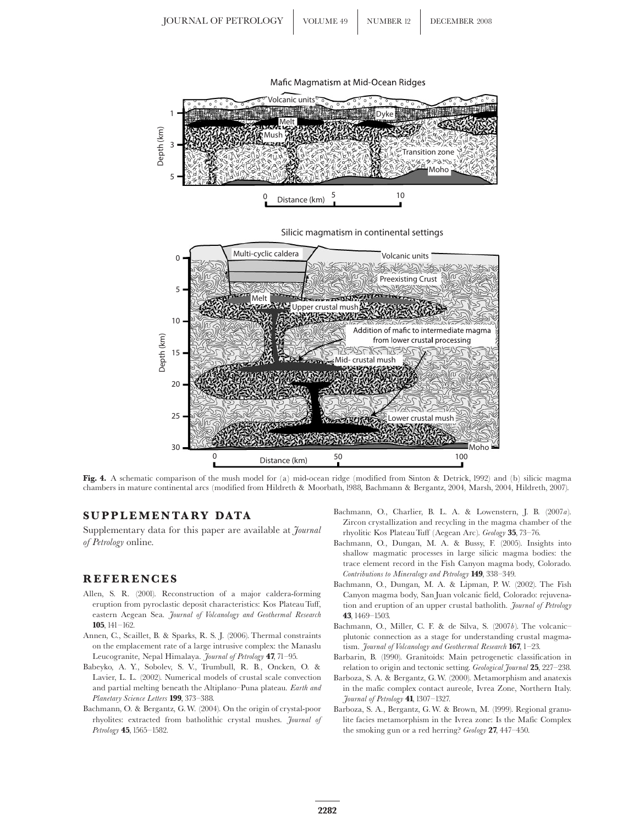

Fig. 4. A schematic comparison of the mush model for (a) mid-ocean ridge (modified from Sinton & Detrick, 1992) and (b) silicic magma chambers in mature continental arcs (modified from Hildreth & Moorbath, 1988, Bachmann & Bergantz, 2004, Marsh, 2004, Hildreth, 2007).

## SUPPLEMENTARY DATA

Supplementary data for this paper are available at *Journal* of Petrology online.

#### REFERENCES

- Allen, S. R. (2001). Reconstruction of a major caldera-forming eruption from pyroclastic deposit characteristics: Kos Plateau Tuff, eastern Aegean Sea. Journal of Volcanology and Geothermal Research  $105$ ,  $141 - 162$
- Annen, C., Scaillet, B. & Sparks, R. S. J. (2006). Thermal constraints on the emplacement rate of a large intrusive complex: the Manaslu Leucogranite, Nepal Himalaya. Journal of Petrology 47, 71-95.
- Babeyko, A. Y., Sobolev, S. V., Trumbull, R. B., Oncken, O. & Lavier, L. L. (2002). Numerical models of crustal scale convection and partial melting beneath the Altiplano-Puna plateau. Earth and Planetary Science Letters 199, 373-388.
- Bachmann, O. & Bergantz, G.W. (2004). On the origin of crystal-poor rhyolites: extracted from batholithic crystal mushes. Journal of Petrology **45**, 1565-1582.
- Bachmann, O., Charlier, B. L. A. & Lowenstern, J. B. (2007a). Zircon crystallization and recycling in the magma chamber of the rhyolitic Kos Plateau Tuff (Aegean Arc). Geology 35, 73-76.
- Bachmann, O., Dungan, M. A. & Bussy, F. (2005). Insights into shallow magmatic processes in large silicic magma bodies: the trace element record in the Fish Canyon magma body, Colorado. Contributions to Mineralogy and Petrology 149, 338-349.
- Bachmann, O., Dungan, M. A. & Lipman, P. W. (2002). The Fish Canyon magma body, San Juan volcanic field, Colorado: rejuvenation and eruption of an upper crustal batholith. Journal of Petrology 43, 1469^1503.
- Bachmann, O., Miller, C. F. & de Silva, S. (2007b). The volcanic^ plutonic connection as a stage for understanding crustal magmatism. Journal of Volcanology and Geothermal Research  $167$ ,  $1-23$ .
- Barbarin, B. (1990). Granitoids: Main petrogenetic classification in relation to origin and tectonic setting. Geological Journal 25, 227-238.
- Barboza, S. A. & Bergantz, G.W. (2000). Metamorphism and anatexis in the mafic complex contact aureole, Ivrea Zone, Northern Italy. Journal of Petrology 41, 1307-1327.
- Barboza, S. A., Bergantz, G.W. & Brown, M. (1999). Regional granulite facies metamorphism in the Ivrea zone: Is the Mafic Complex the smoking gun or a red herring? Geology 27, 447-450.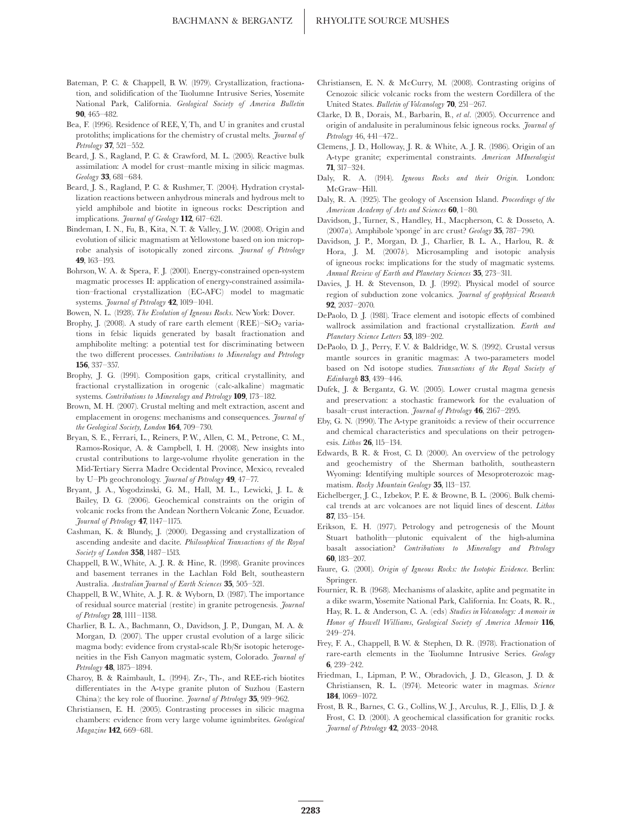- Bateman, P. C. & Chappell, B. W. (1979). Crystallization, fractionation, and solidification of the Tuolumne Intrusive Series, Yosemite National Park, California. Geological Society of America Bulletin 90, 465^482.
- Bea, F. (1996). Residence of REE, Y, Th, and U in granites and crustal protoliths; implications for the chemistry of crustal melts. Journal of Petrology 37, 521-552.
- Beard, J. S., Ragland, P. C. & Crawford, M. L. (2005). Reactive bulk assimilation: A model for crust^mantle mixing in silicic magmas.  $Geology$  33, 681-684.
- Beard, J. S., Ragland, P. C. & Rushmer, T. (2004). Hydration crystallization reactions between anhydrous minerals and hydrous melt to yield amphibole and biotite in igneous rocks: Description and implications. *Journal of Geology* **112**, 617-621.
- Bindeman, I. N., Fu, B., Kita, N. T. & Valley, J.W. (2008). Origin and evolution of silicic magmatism at Yellowstone based on ion microprobe analysis of isotopically zoned zircons. Journal of Petrology 49, 163^193.
- Bohrson,W. A. & Spera, F. J. (2001). Energy-constrained open-system magmatic processes II: application of energy-constrained assimilation^fractional crystallization (EC-AFC) model to magmatic systems. Journal of Petrology  $42$ , 1019-1041.

Bowen, N. L. (1928). The Evolution of Igneous Rocks. New York: Dover.

- Brophy, J. (2008). A study of rare earth element  $(REE)-SiO<sub>2</sub>$  variations in felsic liquids generated by basalt fractionation and amphibolite melting: a potential test for discriminating between the two different processes. Contributions to Mineralogy and Petrology 156, 337-357.
- Brophy, J. G. (1991). Composition gaps, critical crystallinity, and fractional crystallization in orogenic (calc-alkaline) magmatic systems. Contributions to Mineralogy and Petrology 109, 173-182.
- Brown, M. H. (2007). Crustal melting and melt extraction, ascent and emplacement in orogens: mechanisms and consequences. Journal of the Geological Society, London  $164$ , 709-730.
- Bryan, S. E., Ferrari, L., Reiners, P.W., Allen, C. M., Petrone, C. M., Ramos-Rosique, A. & Campbell, I. H. (2008). New insights into crustal contributions to large-volume rhyolite generation in the Mid-Tertiary Sierra Madre Occidental Province, Mexico, revealed by U-Pb geochronology. Journal of Petrology 49, 47-77.
- Bryant, J. A., Yogodzinski, G. M., Hall, M. L., Lewicki, J. L. & Bailey, D. G. (2006). Geochemical constraints on the origin of volcanic rocks from the Andean Northern Volcanic Zone, Ecuador. Journal of Petrology 47, 1147-1175.
- Cashman, K. & Blundy, J. (2000). Degassing and crystallization of ascending andesite and dacite. Philosophical Transactions of the Royal Society of London 358, 1487-1513.
- Chappell, B. W.,White, A. J. R. & Hine, R. (1998). Granite provinces and basement terranes in the Lachlan Fold Belt, southeastern Australia. Australian Journal of Earth Sciences 35, 505-521.
- Chappell, B.W.,White, A. J. R. & Wyborn, D. (1987). The importance of residual source material (restite) in granite petrogenesis. Journal of Petrology  $28$ , 1111-1138.
- Charlier, B. L. A., Bachmann, O., Davidson, J. P., Dungan, M. A. & Morgan, D. (2007). The upper crustal evolution of a large silicic magma body: evidence from crystal-scale Rb/Sr isotopic heterogeneities in the Fish Canyon magmatic system, Colorado. Journal of Petrology **48**, 1875–1894.
- Charoy, B. & Raimbault, L. (1994). Zr-, Th-, and REE-rich biotites differentiates in the A-type granite pluton of Suzhou (Eastern China): the key role of fluorine. Journal of Petrology 35, 919-962.
- Christiansen, E. H. (2005). Contrasting processes in silicic magma chambers: evidence from very large volume ignimbrites. Geological Magazine **142**, 669-681.
- Christiansen, E. N. & McCurry, M. (2008). Contrasting origins of Cenozoic silicic volcanic rocks from the western Cordillera of the United States. Bulletin of Volcanology  $70$ , 251-267.
- Clarke, D. B., Dorais, M., Barbarin, B., et al. (2005). Occurrence and origin of andalusite in peraluminous felsic igneous rocks. Journal of Petrology 46, 441-472..
- Clemens, J. D., Holloway, J. R. & White, A. J. R. (1986). Origin of an A-type granite; experimental constraints. American MIneralogist 71, 317^324.
- Daly, R. A. (1914). Igneous Rocks and their Origin. London: McGraw-Hill.
- Daly, R. A. (1925). The geology of Ascension Island. Proceedings of the American Academy of Arts and Sciences  $60$ , 1-80.
- Davidson, J., Turner, S., Handley, H., Macpherson, C. & Dosseto, A. (2007a). Amphibole 'sponge' in arc crust? Geology  $35$ , 787-790.
- Davidson, J. P., Morgan, D. J., Charlier, B. L. A., Harlou, R. & Hora, J. M. (2007b). Microsampling and isotopic analysis of igneous rocks: implications for the study of magmatic systems. Annual Review of Earth and Planetary Sciences 35, 273-311.
- Davies, J. H. & Stevenson, D. J. (1992). Physical model of source region of subduction zone volcanics. Journal of geophysical Research 92, 2037-2070.
- DePaolo, D. J. (1981). Trace element and isotopic effects of combined wallrock assimilation and fractional crystallization. Earth and Planetary Science Letters 53, 189-202.
- DePaolo, D. J., Perry, F. V. & Baldridge, W. S. (1992). Crustal versus mantle sources in granitic magmas: A two-parameters model based on Nd isotope studies. Transactions of the Royal Society of  $Edinburoh$  83, 439-446.
- Dufek, J. & Bergantz, G. W. (2005). Lower crustal magma genesis and preservation: a stochastic framework for the evaluation of basalt-crust interaction. *Journal of Petrology* 46, 2167-2195.
- Eby, G. N. (1990). The A-type granitoids: a review of their occurrence and chemical characteristics and speculations on their petrogenesis. Lithos **26**, 115-134.
- Edwards, B. R. & Frost, C. D. (2000). An overview of the petrology and geochemistry of the Sherman batholith, southeastern Wyoming: Identifying multiple sources of Mesoproterozoic magmatism. Rocky Mountain Geology 35, 113-137.
- Eichelberger, J. C., Izbekov, P. E. & Browne, B. L. (2006). Bulk chemical trends at arc volcanoes are not liquid lines of descent. Lithos 87, 135^154.
- Erikson, E. H. (1977). Petrology and petrogenesis of the Mount Stuart batholith-plutonic equivalent of the high-alumina basalt association? Contributions to Mineralogy and Petrology 60, 183^207.
- Faure, G. (2001). Origin of Igneous Rocks: the Isotopic Evidence. Berlin: Springer.
- Fournier, R. B. (1968). Mechanisms of alaskite, aplite and pegmatite in a dike swarm,Yosemite National Park, California. In: Coats, R. R., Hay, R. L. & Anderson, C. A. (eds) Studies in Volcanology: A memoir in Honor of Howell Williams, Geological Society of America Memoir 116, 249^274.
- Frey, F. A., Chappell, B. W. & Stephen, D. R. (1978). Fractionation of rare-earth elements in the Tuolumne Intrusive Series. Geology 6, 239-242.
- Friedman, I., Lipman, P. W., Obradovich, J. D., Gleason, J. D. & Christiansen, R. L. (1974). Meteoric water in magmas. Science 184, 1069-1072.
- Frost, B. R., Barnes, C. G., Collins,W. J., Arculus, R. J., Ellis, D. J. & Frost, C. D. (2001). A geochemical classification for granitic rocks. Journal of Petrology  $42$ , 2033-2048.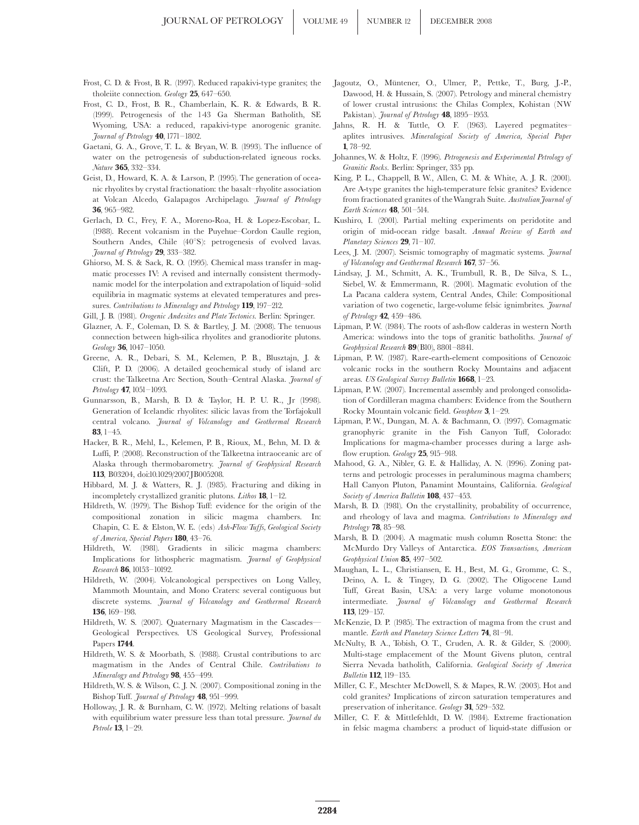- Frost, C. D. & Frost, B. R. (1997). Reduced rapakivi-type granites; the tholeiite connection. Geology 25, 647-650.
- Frost, C. D., Frost, B. R., Chamberlain, K. R. & Edwards, B. R. (1999). Petrogenesis of the 143 Ga Sherman Batholith, SE Wyoming, USA: a reduced, rapakivi-type anorogenic granite.  $Journal of Petrology **40**, 1771-1802.$
- Gaetani, G. A., Grove, T. L. & Bryan, W. B. (1993). The influence of water on the petrogenesis of subduction-related igneous rocks. Nature 365, 332-334.
- Geist, D., Howard, K. A. & Larson, P. (1995). The generation of oceanic rhyolites by crystal fractionation: the basalt^rhyolite association at Volcan Alcedo, Galapagos Archipelago. Journal of Petrology 36, 965-982.
- Gerlach, D. C., Frey, F. A., Moreno-Roa, H. & Lopez-Escobar, L. (1988). Recent volcanism in the Puyehue–Cordon Caulle region, Southern Andes, Chile (40°S): petrogenesis of evolved lavas. Journal of Petrology 29, 333-382.
- Ghiorso, M. S. & Sack, R. O. (1995). Chemical mass transfer in magmatic processes IV: A revised and internally consistent thermodynamic model for the interpolation and extrapolation of liquid-solid equilibria in magmatic systems at elevated temperatures and pressures. Contributions to Mineralogy and Petrology 119, 197-212.
- Gill, J. B. (1981). Orogenic Andesites and Plate Tectonics. Berlin: Springer.
- Glazner, A. F., Coleman, D. S. & Bartley, J. M. (2008). The tenuous connection between high-silica rhyolites and granodiorite plutons.  $Geology$  36, 1047-1050.
- Greene, A. R., Debari, S. M., Kelemen, P. B., Blusztajn, J. & Clift, P. D. (2006). A detailed geochemical study of island arc crust: the Talkeetna Arc Section, South-Central Alaska. Journal of  $Petrology$  47, 1051-1093.
- Gunnarsson, B., Marsh, B. D. & Taylor, H. P. U. R., Jr (1998). Generation of Icelandic rhyolites: silicic lavas from the Torfajokull central volcano. Journal of Volcanology and Geothermal Research 83,  $1-45$
- Hacker, B. R., Mehl, L., Kelemen, P. B., Rioux, M., Behn, M. D. & Luffi, P. (2008). Reconstruction of the Talkeetna intraoceanic arc of Alaska through thermobarometry. Journal of Geophysical Research 113, B03204, doi:10.1029/2007JB005208.
- Hibbard, M. J. & Watters, R. J. (1985). Fracturing and diking in incompletely crystallized granitic plutons. Lithos  $18$ , 1-12.
- Hildreth, W. (1979). The Bishop Tuff: evidence for the origin of the compositional zonation in silicic magma chambers. In: Chapin, C. E. & Elston, W. E. (eds) Ash-Flow Tuffs, Geological Society of America, Special Papers  $180$ , 43-76.
- Hildreth, W. (1981). Gradients in silicic magma chambers: Implications for lithospheric magmatism. Journal of Geophysical Research 86, 10153-10192.
- Hildreth, W. (2004). Volcanological perspectives on Long Valley, Mammoth Mountain, and Mono Craters: several contiguous but discrete systems. Journal of Volcanology and Geothermal Research 136, 169-198.
- Hildreth, W. S. (2007). Quaternary Magmatism in the Cascades-Geological Perspectives. US Geological Survey, Professional Papers 1744.
- Hildreth, W. S. & Moorbath, S. (1988). Crustal contributions to arc magmatism in the Andes of Central Chile. Contributions to Mineralogy and Petrology 98, 455-499.
- Hildreth,W. S. & Wilson, C. J. N. (2007). Compositional zoning in the Bishop Tuff. Journal of Petrology 48, 951-999.
- Holloway, J. R. & Burnham, C. W. (1972). Melting relations of basalt with equilibrium water pressure less than total pressure. *Journal du* Petrole  $13$ ,  $1-29$ .
- Jagoutz, O., Müntener, O., Ulmer, P., Pettke, T., Burg, J.-P., Dawood, H. & Hussain, S. (2007). Petrology and mineral chemistry of lower crustal intrusions: the Chilas Complex, Kohistan (NW Pakistan). Journal of Petrology  $48$ , 1895–1953.
- Jahns, R. H. & Tuttle, O. F. (1963). Layered pegmatites^ aplites intrusives. Mineralogical Society of America, Special Paper 1, 78-92.
- Johannes,W. & Holtz, F. (1996). Petrogenesis and Experimental Petrology of Granitic Rocks. Berlin: Springer, 335 pp.
- King, P. L., Chappell, B. W., Allen, C. M. & White, A. J. R. (2001). Are A-type granites the high-temperature felsic granites? Evidence from fractionated granites of the Wangrah Suite. Australian Journal of Earth Sciences  $48.501 - 514.$
- Kushiro, I. (2001). Partial melting experiments on peridotite and origin of mid-ocean ridge basalt. Annual Review of Earth and Planetary Sciences  $29$ , 71-107.
- Lees, J. M. (2007). Seismic tomography of magmatic systems. Journal of Volcanology and Geothermal Research  $167$ , 37-56.
- Lindsay, J. M., Schmitt, A. K., Trumbull, R. B., De Silva, S. L., Siebel, W. & Emmermann, R. (2001). Magmatic evolution of the La Pacana caldera system, Central Andes, Chile: Compositional variation of two cogenetic, large-volume felsic ignimbrites. Journal of Petrology  $42, 459 - 486.$
- Lipman, P. W. (1984). The roots of ash-flow calderas in western North America: windows into the tops of granitic batholiths. Journal of Geophysical Research  $89$ (B10), 8801-8841.
- Lipman, P. W. (1987). Rare-earth-element compositions of Cenozoic volcanic rocks in the southern Rocky Mountains and adjacent areas. US Geological Survey Bulletin 1668, 1-23.
- Lipman, P.W. (2007). Incremental assembly and prolonged consolidation of Cordilleran magma chambers: Evidence from the Southern Rocky Mountain volcanic field. Geosphere 3, 1^29.
- Lipman, P. W., Dungan, M. A. & Bachmann, O. (1997). Comagmatic granophyric granite in the Fish Canyon Tuff, Colorado: Implications for magma-chamber processes during a large ashflow eruption. Geology 25, 915-918.
- Mahood, G. A., Nibler, G. E. & Halliday, A. N. (1996). Zoning patterns and petrologic processes in peraluminous magma chambers; Hall Canyon Pluton, Panamint Mountains, California. Geological Society of America Bulletin 108, 437-453.
- Marsh, B. D. (1981). On the crystallinity, probability of occurrence, and rheology of lava and magma. Contributions to Mineralogy and  $Petrology$  78, 85-98.
- Marsh, B. D. (2004). A magmatic mush column Rosetta Stone: the McMurdo Dry Valleys of Antarctica. EOS Transactions, American Geophysical Union 85, 497-502.
- Maughan, L. L., Christiansen, E. H., Best, M. G., Gromme, C. S., Deino, A. L. & Tingey, D. G. (2002). The Oligocene Lund Tuff, Great Basin, USA: a very large volume monotonous intermediate. Journal of Volcanology and Geothermal Research 113, 129-157.
- McKenzie, D. P. (1985). The extraction of magma from the crust and mantle. Earth and Planetary Science Letters  $74.81-91.$
- McNulty, B. A., Tobish, O. T., Cruden, A. R. & Gilder, S. (2000). Multi-stage emplacement of the Mount Givens pluton, central Sierra Nevada batholith, California. Geological Society of America Bulletin 112, 119-135.
- Miller, C. F., Meschter McDowell, S. & Mapes, R.W. (2003). Hot and cold granites? Implications of zircon saturation temperatures and preservation of inheritance. Geology 31, 529-532.
- Miller, C. F. & Mittlefehldt, D. W. (1984). Extreme fractionation in felsic magma chambers: a product of liquid-state diffusion or